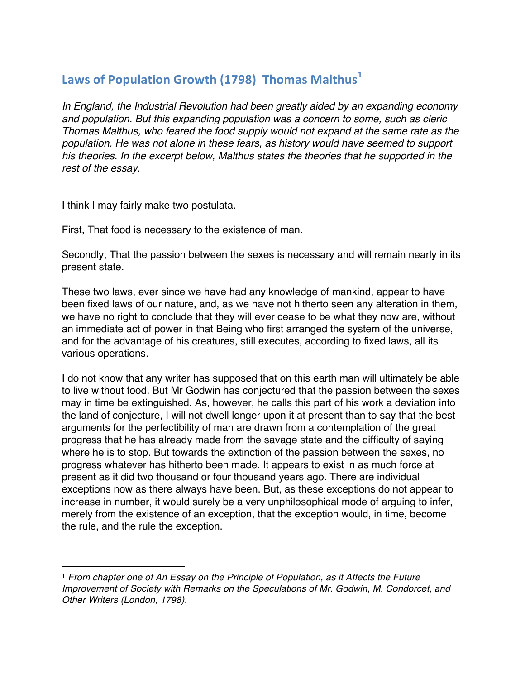## Laws of Population Growth (1798) Thomas Malthus<sup>1</sup>

*In England, the Industrial Revolution had been greatly aided by an expanding economy and population. But this expanding population was a concern to some, such as cleric Thomas Malthus, who feared the food supply would not expand at the same rate as the population. He was not alone in these fears, as history would have seemed to support his theories. In the excerpt below, Malthus states the theories that he supported in the rest of the essay.*

I think I may fairly make two postulata.

 

First, That food is necessary to the existence of man.

Secondly, That the passion between the sexes is necessary and will remain nearly in its present state.

These two laws, ever since we have had any knowledge of mankind, appear to have been fixed laws of our nature, and, as we have not hitherto seen any alteration in them, we have no right to conclude that they will ever cease to be what they now are, without an immediate act of power in that Being who first arranged the system of the universe, and for the advantage of his creatures, still executes, according to fixed laws, all its various operations.

I do not know that any writer has supposed that on this earth man will ultimately be able to live without food. But Mr Godwin has conjectured that the passion between the sexes may in time be extinguished. As, however, he calls this part of his work a deviation into the land of conjecture, I will not dwell longer upon it at present than to say that the best arguments for the perfectibility of man are drawn from a contemplation of the great progress that he has already made from the savage state and the difficulty of saying where he is to stop. But towards the extinction of the passion between the sexes, no progress whatever has hitherto been made. It appears to exist in as much force at present as it did two thousand or four thousand years ago. There are individual exceptions now as there always have been. But, as these exceptions do not appear to increase in number, it would surely be a very unphilosophical mode of arguing to infer, merely from the existence of an exception, that the exception would, in time, become the rule, and the rule the exception.

<sup>1</sup> *From chapter one of An Essay on the Principle of Population, as it Affects the Future Improvement of Society with Remarks on the Speculations of Mr. Godwin, M. Condorcet, and Other Writers (London, 1798).*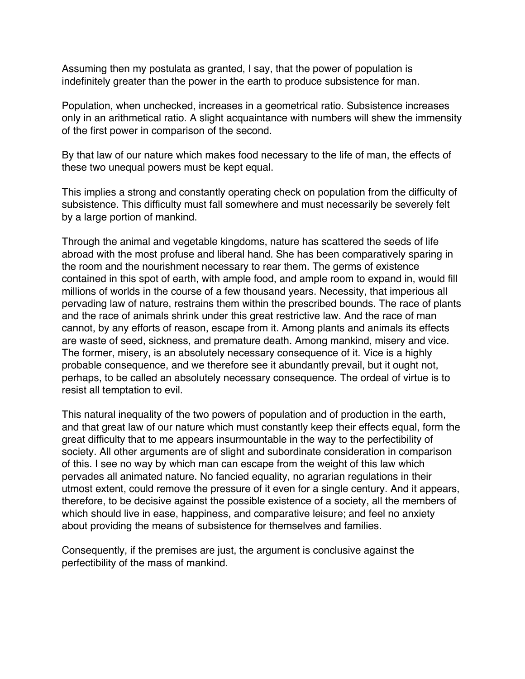Assuming then my postulata as granted, I say, that the power of population is indefinitely greater than the power in the earth to produce subsistence for man.

Population, when unchecked, increases in a geometrical ratio. Subsistence increases only in an arithmetical ratio. A slight acquaintance with numbers will shew the immensity of the first power in comparison of the second.

By that law of our nature which makes food necessary to the life of man, the effects of these two unequal powers must be kept equal.

This implies a strong and constantly operating check on population from the difficulty of subsistence. This difficulty must fall somewhere and must necessarily be severely felt by a large portion of mankind.

Through the animal and vegetable kingdoms, nature has scattered the seeds of life abroad with the most profuse and liberal hand. She has been comparatively sparing in the room and the nourishment necessary to rear them. The germs of existence contained in this spot of earth, with ample food, and ample room to expand in, would fill millions of worlds in the course of a few thousand years. Necessity, that imperious all pervading law of nature, restrains them within the prescribed bounds. The race of plants and the race of animals shrink under this great restrictive law. And the race of man cannot, by any efforts of reason, escape from it. Among plants and animals its effects are waste of seed, sickness, and premature death. Among mankind, misery and vice. The former, misery, is an absolutely necessary consequence of it. Vice is a highly probable consequence, and we therefore see it abundantly prevail, but it ought not, perhaps, to be called an absolutely necessary consequence. The ordeal of virtue is to resist all temptation to evil.

This natural inequality of the two powers of population and of production in the earth, and that great law of our nature which must constantly keep their effects equal, form the great difficulty that to me appears insurmountable in the way to the perfectibility of society. All other arguments are of slight and subordinate consideration in comparison of this. I see no way by which man can escape from the weight of this law which pervades all animated nature. No fancied equality, no agrarian regulations in their utmost extent, could remove the pressure of it even for a single century. And it appears, therefore, to be decisive against the possible existence of a society, all the members of which should live in ease, happiness, and comparative leisure; and feel no anxiety about providing the means of subsistence for themselves and families.

Consequently, if the premises are just, the argument is conclusive against the perfectibility of the mass of mankind.